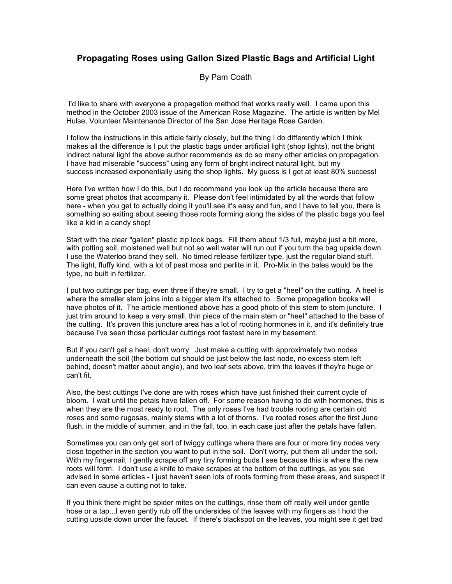## **Propagating Roses using Gallon Sized Plastic Bags and Artificial Light**

## By Pam Coath

 I'd like to share with everyone a propagation method that works really well. I came upon this method in the October 2003 issue of the American Rose Magazine. The article is written by Mel Hulse, Volunteer Maintenance Director of the San Jose Heritage Rose Garden.

I follow the instructions in this article fairly closely, but the thing I do differently which I think makes all the difference is I put the plastic bags under artificial light (shop lights), not the bright indirect natural light the above author recommends as do so many other articles on propagation. I have had miserable "success" using any form of bright indirect natural light, but my success increased exponentially using the shop lights. My guess is I get at least 80% success!

Here I've written how I do this, but I do recommend you look up the article because there are some great photos that accompany it. Please don't feel intimidated by all the words that follow here - when you get to actually doing it you'll see it's easy and fun, and I have to tell you, there is something so exiting about seeing those roots forming along the sides of the plastic bags you feel like a kid in a candy shop!

Start with the clear "gallon" plastic zip lock bags. Fill them about 1/3 full, maybe just a bit more, with potting soil, moistened well but not so well water will run out if you turn the bag upside down. I use the Waterloo brand they sell. No timed release fertilizer type, just the regular bland stuff. The light, fluffy kind, with a lot of peat moss and perlite in it. Pro-Mix in the bales would be the type, no built in fertilizer.

I put two cuttings per bag, even three if they're small. I try to get a "heel" on the cutting. A heel is where the smaller stem joins into a bigger stem it's attached to. Some propagation books will have photos of it. The article mentioned above has a good photo of this stem to stem juncture. I just trim around to keep a very small, thin piece of the main stem or "heel" attached to the base of the cutting. It's proven this juncture area has a lot of rooting hormones in it, and it's definitely true because I've seen those particular cuttings root fastest here in my basement.

But if you can't get a heel, don't worry. Just make a cutting with approximately two nodes underneath the soil (the bottom cut should be just below the last node, no excess stem left behind, doesn't matter about angle), and two leaf sets above, trim the leaves if they're huge or can't fit.

Also, the best cuttings I've done are with roses which have just finished their current cycle of bloom. I wait until the petals have fallen off. For some reason having to do with hormones, this is when they are the most ready to root. The only roses I've had trouble rooting are certain old roses and some rugosas, mainly stems with a lot of thorns. I've rooted roses after the first June flush, in the middle of summer, and in the fall, too, in each case just after the petals have fallen.

Sometimes you can only get sort of twiggy cuttings where there are four or more tiny nodes very close together in the section you want to put in the soil. Don't worry, put them all under the soil. With my fingernail, I gently scrape off any tiny forming buds I see because this is where the new roots will form. I don't use a knife to make scrapes at the bottom of the cuttings, as you see advised in some articles - I just haven't seen lots of roots forming from these areas, and suspect it can even cause a cutting not to take.

If you think there might be spider mites on the cuttings, rinse them off really well under gentle hose or a tap...I even gently rub off the undersides of the leaves with my fingers as I hold the cutting upside down under the faucet. If there's blackspot on the leaves, you might see it get bad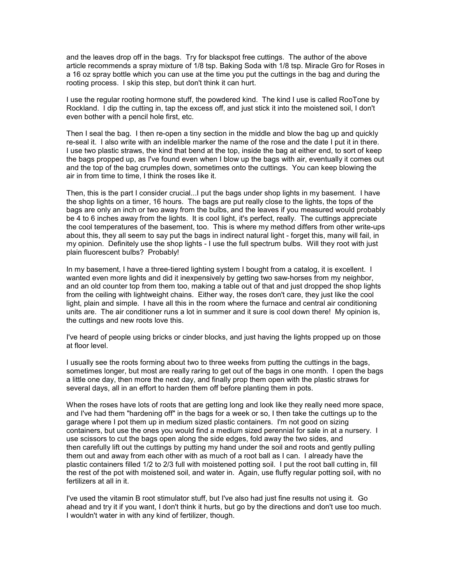and the leaves drop off in the bags. Try for blackspot free cuttings. The author of the above article recommends a spray mixture of 1/8 tsp. Baking Soda with 1/8 tsp. Miracle Gro for Roses in a 16 oz spray bottle which you can use at the time you put the cuttings in the bag and during the rooting process. I skip this step, but don't think it can hurt.

I use the regular rooting hormone stuff, the powdered kind. The kind I use is called RooTone by Rockland. I dip the cutting in, tap the excess off, and just stick it into the moistened soil, I don't even bother with a pencil hole first, etc.

Then I seal the bag. I then re-open a tiny section in the middle and blow the bag up and quickly re-seal it. I also write with an indelible marker the name of the rose and the date I put it in there. I use two plastic straws, the kind that bend at the top, inside the bag at either end, to sort of keep the bags propped up, as I've found even when I blow up the bags with air, eventually it comes out and the top of the bag crumples down, sometimes onto the cuttings. You can keep blowing the air in from time to time, I think the roses like it.

Then, this is the part I consider crucial...I put the bags under shop lights in my basement. I have the shop lights on a timer, 16 hours. The bags are put really close to the lights, the tops of the bags are only an inch or two away from the bulbs, and the leaves if you measured would probably be 4 to 6 inches away from the lights. It is cool light, it's perfect, really. The cuttings appreciate the cool temperatures of the basement, too. This is where my method differs from other write-ups about this, they all seem to say put the bags in indirect natural light - forget this, many will fail, in my opinion. Definitely use the shop lights - I use the full spectrum bulbs. Will they root with just plain fluorescent bulbs? Probably!

In my basement, I have a three-tiered lighting system I bought from a catalog, it is excellent. I wanted even more lights and did it inexpensively by getting two saw-horses from my neighbor, and an old counter top from them too, making a table out of that and just dropped the shop lights from the ceiling with lightweight chains. Either way, the roses don't care, they just like the cool light, plain and simple. I have all this in the room where the furnace and central air conditioning units are. The air conditioner runs a lot in summer and it sure is cool down there! My opinion is, the cuttings and new roots love this.

I've heard of people using bricks or cinder blocks, and just having the lights propped up on those at floor level.

I usually see the roots forming about two to three weeks from putting the cuttings in the bags, sometimes longer, but most are really raring to get out of the bags in one month. I open the bags a little one day, then more the next day, and finally prop them open with the plastic straws for several days, all in an effort to harden them off before planting them in pots.

When the roses have lots of roots that are getting long and look like they really need more space, and I've had them "hardening off" in the bags for a week or so, I then take the cuttings up to the garage where I pot them up in medium sized plastic containers. I'm not good on sizing containers, but use the ones you would find a medium sized perennial for sale in at a nursery. I use scissors to cut the bags open along the side edges, fold away the two sides, and then carefully lift out the cuttings by putting my hand under the soil and roots and gently pulling them out and away from each other with as much of a root ball as I can. I already have the plastic containers filled 1/2 to 2/3 full with moistened potting soil. I put the root ball cutting in, fill the rest of the pot with moistened soil, and water in. Again, use fluffy regular potting soil, with no fertilizers at all in it.

I've used the vitamin B root stimulator stuff, but I've also had just fine results not using it. Go ahead and try it if you want, I don't think it hurts, but go by the directions and don't use too much. I wouldn't water in with any kind of fertilizer, though.